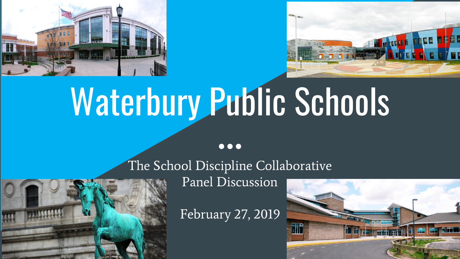



# Waterbury Public Schools

 $\bullet\bullet\bullet$ 



The School Discipline Collaborative Panel Discussion

February 27, 2019

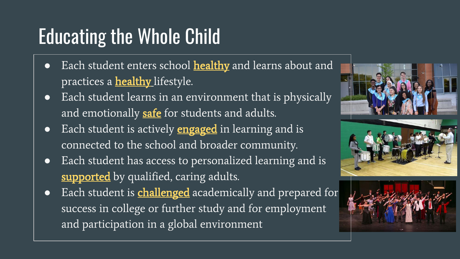## Educating the Whole Child

- Each student enters school **[healthy](http://www.wholechildeducation.org/about/healthy)** and learns about and practices a **healthy** lifestyle.
- Each student learns in an environment that is physically and emotionally [safe](http://www.wholechildeducation.org/about/safe) for students and adults.
- Each student is actively **[engaged](http://www.wholechildeducation.org/about/engaged)** in learning and is connected to the school and broader community.
- Each student has access to personalized learning and is [supported](http://www.wholechildeducation.org/about/supported) by qualified, caring adults.
- Each student is **[challenged](http://www.wholechildeducation.org/about/challenged)** academically and prepared for success in college or further study and for employment and participation in a global environment

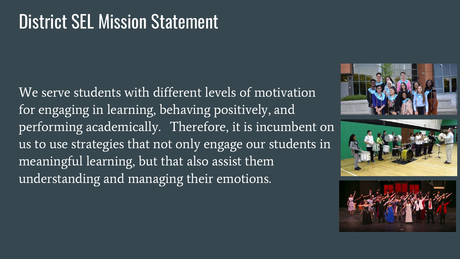#### District SEL Mission Statement

We serve students with different levels of motivation for engaging in learning, behaving positively, and performing academically. Therefore, it is incumbent on us to use strategies that not only engage our students in meaningful learning, but that also assist them understanding and managing their emotions.





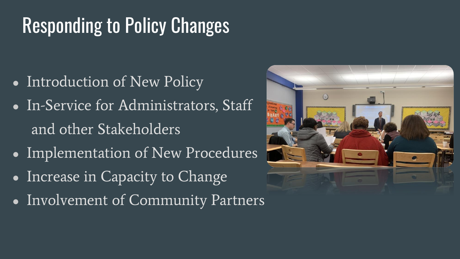## Responding to Policy Changes

- Introduction of New Policy
- In-Service for Administrators, Staff and other Stakeholders
- Implementation of New Procedures
- Increase in Capacity to Change
- Involvement of Community Partners

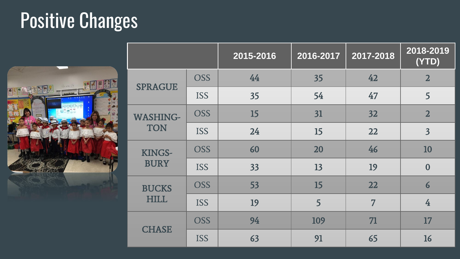## Positive Changes



|                               |            | 2015-2016 | 2016-2017 | 2017-2018 | 2018-2019<br>$\overline{(YTD)}$ |
|-------------------------------|------------|-----------|-----------|-----------|---------------------------------|
| <b>SPRAGUE</b>                | <b>OSS</b> | 44        | 35        | 42        | $\overline{2}$                  |
|                               | <b>ISS</b> | 35        | 54        | 47        | 5                               |
| <b>WASHING-</b><br><b>TON</b> | <b>OSS</b> | 15        | 31        | 32        | $\overline{2}$                  |
|                               | <b>ISS</b> | 24        | 15        | 22        | $\overline{\mathbf{3}}$         |
| KINGS-<br><b>BURY</b>         | <b>OSS</b> | 60        | 20        | 46        | 10                              |
|                               | <b>ISS</b> | 33        | 13        | 19        | $\overline{0}$                  |
| <b>BUCKS</b><br><b>HILL</b>   | <b>OSS</b> | 53        | 15        | 22        | $\overline{6}$                  |
|                               | <b>ISS</b> | 19        | 5         | 7         | $\overline{4}$                  |
| <b>CHASE</b>                  | <b>OSS</b> | 94        | 109       | 71        | 17                              |
|                               | <b>ISS</b> | 63        | 91        | 65        | 16                              |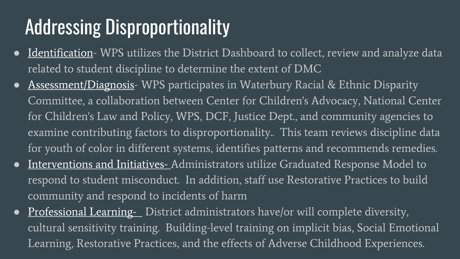### Addressing Disproportionality

- Identification- WPS utilizes the District Dashboard to collect, review and analyze data related to student discipline to determine the extent of DMC
- Assessment/Diagnosis- WPS participates in Waterbury Racial & Ethnic Disparity Committee, a collaboration between Center for Children's Advocacy, National Center for Children's Law and Policy, WPS, DCF, Justice Dept., and community agencies to examine contributing factors to disproportionality.. This team reviews discipline data for youth of color in different systems, identifies patterns and recommends remedies.
- Interventions and Initiatives- Administrators utilize Graduated Response Model to respond to student misconduct. In addition, staff use Restorative Practices to build community and respond to incidents of harm
- Professional Learning- District administrators have/or will complete diversity, cultural sensitivity training. Building-level training on implicit bias, Social Emotional Learning, Restorative Practices, and the effects of Adverse Childhood Experiences.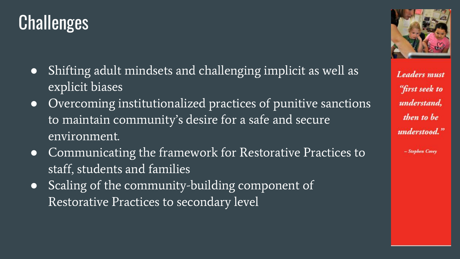#### **Challenges**

- Shifting adult mindsets and challenging implicit as well as explicit biases
- Overcoming institutionalized practices of punitive sanctions to maintain community's desire for a safe and secure environment.
- Communicating the framework for Restorative Practices to staff, students and families
- Scaling of the community-building component of Restorative Practices to secondary level



**Leaders** must "first seek to understand. then to be understood."

- Stephen Covey